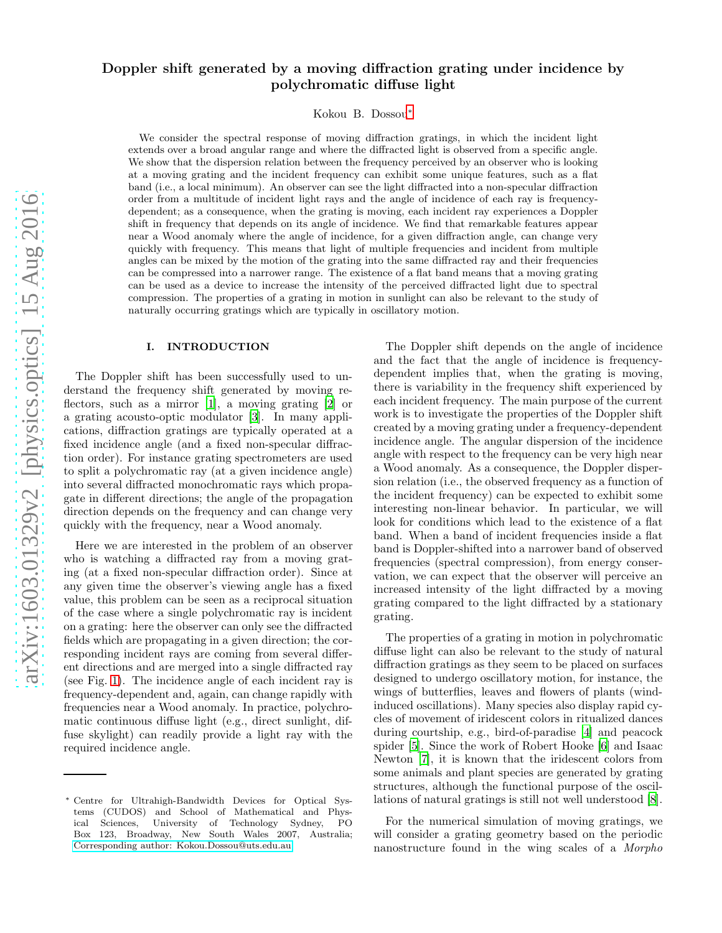# Doppler shift generated by a moving diffraction grating under incidence by polychromatic diffuse light

Kokou B. Dossou[∗](#page-0-0)

We consider the spectral response of moving diffraction gratings, in which the incident light extends over a broad angular range and where the diffracted light is observed from a specific angle. We show that the dispersion relation between the frequency perceived by an observer who is looking at a moving grating and the incident frequency can exhibit some unique features, such as a flat band (i.e., a local minimum). An observer can see the light diffracted into a non-specular diffraction order from a multitude of incident light rays and the angle of incidence of each ray is frequencydependent; as a consequence, when the grating is moving, each incident ray experiences a Doppler shift in frequency that depends on its angle of incidence. We find that remarkable features appear near a Wood anomaly where the angle of incidence, for a given diffraction angle, can change very quickly with frequency. This means that light of multiple frequencies and incident from multiple angles can be mixed by the motion of the grating into the same diffracted ray and their frequencies can be compressed into a narrower range. The existence of a flat band means that a moving grating can be used as a device to increase the intensity of the perceived diffracted light due to spectral compression. The properties of a grating in motion in sunlight can also be relevant to the study of naturally occurring gratings which are typically in oscillatory motion.

# I. INTRODUCTION

The Doppler shift has been successfully used to understand the frequency shift generated by moving reflectors, such as a mirror [\[1\]](#page-10-0), a moving grating [\[2\]](#page-10-1) or a grating acousto-optic modulator [\[3\]](#page-10-2). In many applications, diffraction gratings are typically operated at a fixed incidence angle (and a fixed non-specular diffraction order). For instance grating spectrometers are used to split a polychromatic ray (at a given incidence angle) into several diffracted monochromatic rays which propagate in different directions; the angle of the propagation direction depends on the frequency and can change very quickly with the frequency, near a Wood anomaly.

Here we are interested in the problem of an observer who is watching a diffracted ray from a moving grating (at a fixed non-specular diffraction order). Since at any given time the observer's viewing angle has a fixed value, this problem can be seen as a reciprocal situation of the case where a single polychromatic ray is incident on a grating: here the observer can only see the diffracted fields which are propagating in a given direction; the corresponding incident rays are coming from several different directions and are merged into a single diffracted ray (see Fig. [1\)](#page-1-0). The incidence angle of each incident ray is frequency-dependent and, again, can change rapidly with frequencies near a Wood anomaly. In practice, polychromatic continuous diffuse light (e.g., direct sunlight, diffuse skylight) can readily provide a light ray with the required incidence angle.

The Doppler shift depends on the angle of incidence and the fact that the angle of incidence is frequencydependent implies that, when the grating is moving, there is variability in the frequency shift experienced by each incident frequency. The main purpose of the current work is to investigate the properties of the Doppler shift created by a moving grating under a frequency-dependent incidence angle. The angular dispersion of the incidence angle with respect to the frequency can be very high near a Wood anomaly. As a consequence, the Doppler dispersion relation (i.e., the observed frequency as a function of the incident frequency) can be expected to exhibit some interesting non-linear behavior. In particular, we will look for conditions which lead to the existence of a flat band. When a band of incident frequencies inside a flat band is Doppler-shifted into a narrower band of observed frequencies (spectral compression), from energy conservation, we can expect that the observer will perceive an increased intensity of the light diffracted by a moving grating compared to the light diffracted by a stationary grating.

The properties of a grating in motion in polychromatic diffuse light can also be relevant to the study of natural diffraction gratings as they seem to be placed on surfaces designed to undergo oscillatory motion, for instance, the wings of butterflies, leaves and flowers of plants (windinduced oscillations). Many species also display rapid cycles of movement of iridescent colors in ritualized dances during courtship, e.g., bird-of-paradise [\[4](#page-10-3)] and peacock spider [\[5](#page-10-4)]. Since the work of Robert Hooke [\[6\]](#page-10-5) and Isaac Newton [\[7\]](#page-10-6), it is known that the iridescent colors from some animals and plant species are generated by grating structures, although the functional purpose of the oscillations of natural gratings is still not well understood [\[8\]](#page-10-7).

For the numerical simulation of moving gratings, we will consider a grating geometry based on the periodic nanostructure found in the wing scales of a Morpho

<span id="page-0-0"></span><sup>∗</sup> Centre for Ultrahigh-Bandwidth Devices for Optical Systems (CUDOS) and School of Mathematical and Physical Sciences, University of Technology Sydney, PO Box 123, Broadway, New South Wales 2007, Australia; [Corresponding author: Kokou.Dossou@uts.edu.au](mailto:Corresponding author: Kokou.Dossou@uts.edu.au)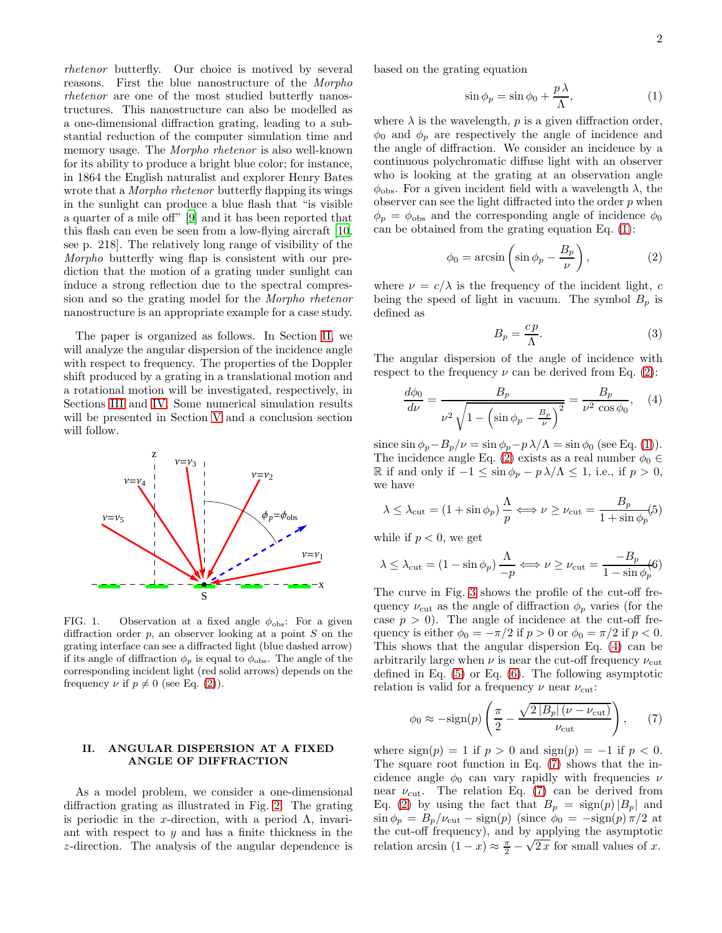rhetenor butterfly. Our choice is motived by several reasons. First the blue nanostructure of the Morpho rhetenor are one of the most studied butterfly nanostructures. This nanostructure can also be modelled as a one-dimensional diffraction grating, leading to a substantial reduction of the computer simulation time and memory usage. The Morpho rhetenor is also well-known for its ability to produce a bright blue color; for instance, in 1864 the English naturalist and explorer Henry Bates wrote that a Morpho rhetenor butterfly flapping its wings in the sunlight can produce a blue flash that "is visible a quarter of a mile off" [\[9](#page-10-8)] and it has been reported that this flash can even be seen from a low-flying aircraft [\[10](#page-10-9), see p. 218]. The relatively long range of visibility of the Morpho butterfly wing flap is consistent with our prediction that the motion of a grating under sunlight can induce a strong reflection due to the spectral compression and so the grating model for the Morpho rhetenor nanostructure is an appropriate example for a case study.

The paper is organized as follows. In Section [II,](#page-1-1) we will analyze the angular dispersion of the incidence angle with respect to frequency. The properties of the Doppler shift produced by a grating in a translational motion and a rotational motion will be investigated, respectively, in Sections [III](#page-2-0) and [IV.](#page-3-0) Some numerical simulation results will be presented in Section [V](#page-7-0) and a conclusion section will follow.



<span id="page-1-0"></span>FIG. 1. Observation at a fixed angle  $\phi_{\text{obs}}$ : For a given diffraction order  $p$ , an observer looking at a point  $S$  on the grating interface can see a diffracted light (blue dashed arrow) if its angle of diffraction  $\phi_p$  is equal to  $\phi_{\text{obs}}$ . The angle of the corresponding incident light (red solid arrows) depends on the frequency  $\nu$  if  $p \neq 0$  (see Eq. [\(2\)](#page-1-2)).

#### <span id="page-1-1"></span>II. ANGULAR DISPERSION AT A FIXED ANGLE OF DIFFRACTION

As a model problem, we consider a one-dimensional diffraction grating as illustrated in Fig. [2.](#page-2-1) The grating is periodic in the x-direction, with a period  $\Lambda$ , invariant with respect to  $y$  and has a finite thickness in the z-direction. The analysis of the angular dependence is

based on the grating equation

<span id="page-1-3"></span>
$$
\sin \phi_p = \sin \phi_0 + \frac{p\lambda}{\Lambda},\tag{1}
$$

where  $\lambda$  is the wavelength, p is a given diffraction order,  $\phi_0$  and  $\phi_p$  are respectively the angle of incidence and the angle of diffraction. We consider an incidence by a continuous polychromatic diffuse light with an observer who is looking at the grating at an observation angle  $\phi_{\rm obs}$ . For a given incident field with a wavelength  $\lambda$ , the observer can see the light diffracted into the order  $p$  when  $\phi_p = \phi_{obs}$  and the corresponding angle of incidence  $\phi_0$ can be obtained from the grating equation Eq. [\(1\)](#page-1-3):

<span id="page-1-2"></span>
$$
\phi_0 = \arcsin\left(\sin\phi_p - \frac{B_p}{\nu}\right),\tag{2}
$$

where  $\nu = c/\lambda$  is the frequency of the incident light, c being the speed of light in vacuum. The symbol  $B_p$  is defined as

$$
B_p = \frac{cp}{\Lambda}.\tag{3}
$$

The angular dispersion of the angle of incidence with respect to the frequency  $\nu$  can be derived from Eq. [\(2\)](#page-1-2):

<span id="page-1-4"></span>
$$
\frac{d\phi_0}{d\nu} = \frac{B_p}{\nu^2 \sqrt{1 - \left(\sin \phi_p - \frac{B_p}{\nu}\right)^2}} = \frac{B_p}{\nu^2 \cos \phi_0}, \quad (4)
$$

since  $\sin \phi_p - B_p/\nu = \sin \phi_p - p \lambda/\Lambda = \sin \phi_0$  (see Eq. [\(1\)](#page-1-3)). The incidence angle Eq. [\(2\)](#page-1-2) exists as a real number  $\phi_0 \in$  $\mathbb R$  if and only if  $-1 \leq \sin \phi_p - p \lambda/\Lambda \leq 1$ , i.e., if  $p > 0$ , we have

<span id="page-1-5"></span>
$$
\lambda \leq \lambda_{\text{cut}} = (1 + \sin \phi_p) \frac{\Lambda}{p} \Longleftrightarrow \nu \geq \nu_{\text{cut}} = \frac{B_p}{1 + \sin \phi_p} (5)
$$

while if  $p < 0$ , we get

<span id="page-1-6"></span>
$$
\lambda \leq \lambda_{\text{cut}} = (1 - \sin \phi_p) \frac{\Lambda}{-p} \Longleftrightarrow \nu \geq \nu_{\text{cut}} = \frac{-B_p}{1 - \sin \phi_p}(6)
$$

The curve in Fig. [3](#page-2-2) shows the profile of the cut-off frequency  $\nu_{\rm cut}$  as the angle of diffraction  $\phi_p$  varies (for the case  $p > 0$ ). The angle of incidence at the cut-off frequency is either  $\phi_0 = -\pi/2$  if  $p > 0$  or  $\phi_0 = \pi/2$  if  $p < 0$ . This shows that the angular dispersion Eq. [\(4\)](#page-1-4) can be arbitrarily large when  $\nu$  is near the cut-off frequency  $\nu_{\rm cut}$ defined in Eq. [\(5\)](#page-1-5) or Eq. [\(6\)](#page-1-6). The following asymptotic relation is valid for a frequency  $\nu$  near  $\nu_{\rm cut}$ :

<span id="page-1-7"></span>
$$
\phi_0 \approx -\text{sign}(p) \left( \frac{\pi}{2} - \frac{\sqrt{2|B_p| \left( \nu - \nu_{\text{cut}} \right)}}{\nu_{\text{cut}}} \right), \qquad (7)
$$

where  $sign(p) = 1$  if  $p > 0$  and  $sign(p) = -1$  if  $p < 0$ . The square root function in Eq. [\(7\)](#page-1-7) shows that the incidence angle  $\phi_0$  can vary rapidly with frequencies  $\nu$ near  $\nu_{\rm cut}$ . The relation Eq. [\(7\)](#page-1-7) can be derived from Eq. [\(2\)](#page-1-2) by using the fact that  $B_p = \text{sign}(p)|B_p|$  and  $\sin \phi_p = B_p / \nu_{\rm cut} - \text{sign}(p)$  (since  $\phi_0 = -\text{sign}(p) \pi/2$  at the cut-off frequency), and by applying the asymptotic relation arcsin  $(1-x) \approx \frac{\pi}{2}$  –  $\sqrt{2x}$  for small values of x.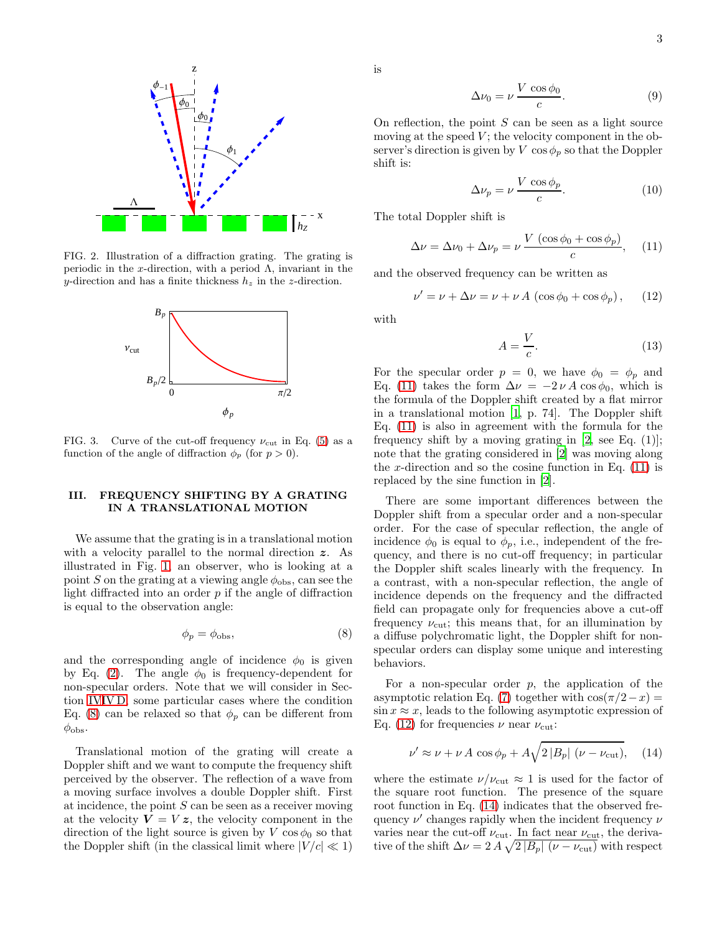

FIG. 2. Illustration of a diffraction grating. The grating is periodic in the x-direction, with a period  $\Lambda$ , invariant in the y-direction and has a finite thickness  $h_z$  in the z-direction.

<span id="page-2-1"></span>

<span id="page-2-2"></span>FIG. 3. Curve of the cut-off frequency  $\nu_{\rm cut}$  in Eq. [\(5\)](#page-1-5) as a function of the angle of diffraction  $\phi_p$  (for  $p > 0$ ).

# <span id="page-2-0"></span>III. FREQUENCY SHIFTING BY A GRATING IN A TRANSLATIONAL MOTION

We assume that the grating is in a translational motion with a velocity parallel to the normal direction z. As illustrated in Fig. [1,](#page-1-0) an observer, who is looking at a point S on the grating at a viewing angle  $\phi_{\rm obs}$ , can see the light diffracted into an order  $p$  if the angle of diffraction is equal to the observation angle:

<span id="page-2-3"></span>
$$
\phi_p = \phi_{\rm obs},\tag{8}
$$

and the corresponding angle of incidence  $\phi_0$  is given by Eq. [\(2\)](#page-1-2). The angle  $\phi_0$  is frequency-dependent for non-specular orders. Note that we will consider in Section [IV](#page-3-0)[IV D,](#page-6-0) some particular cases where the condition Eq. [\(8\)](#page-2-3) can be relaxed so that  $\phi_p$  can be different from  $\phi_{\rm obs}$ .

Translational motion of the grating will create a Doppler shift and we want to compute the frequency shift perceived by the observer. The reflection of a wave from a moving surface involves a double Doppler shift. First at incidence, the point  $S$  can be seen as a receiver moving at the velocity  $V = V z$ , the velocity component in the direction of the light source is given by V  $\cos \phi_0$  so that the Doppler shift (in the classical limit where  $|V/c| \ll 1$ )

is

$$
\Delta \nu_0 = \nu \, \frac{V \, \cos \phi_0}{c}.\tag{9}
$$

On reflection, the point  $S$  can be seen as a light source moving at the speed  $V$ ; the velocity component in the observer's direction is given by  $V \cos \phi_p$  so that the Doppler shift is:

$$
\Delta \nu_p = \nu \, \frac{V \, \cos \phi_p}{c}.\tag{10}
$$

The total Doppler shift is

<span id="page-2-4"></span>
$$
\Delta \nu = \Delta \nu_0 + \Delta \nu_p = \nu \frac{V (\cos \phi_0 + \cos \phi_p)}{c}, \quad (11)
$$

and the observed frequency can be written as

<span id="page-2-5"></span>
$$
\nu' = \nu + \Delta \nu = \nu + \nu A \left( \cos \phi_0 + \cos \phi_p \right), \quad (12)
$$

with

<span id="page-2-7"></span>
$$
A = \frac{V}{c}.\tag{13}
$$

For the specular order  $p = 0$ , we have  $\phi_0 = \phi_p$  and Eq. [\(11\)](#page-2-4) takes the form  $\Delta \nu = -2 \nu A \cos \phi_0$ , which is the formula of the Doppler shift created by a flat mirror in a translational motion [\[1](#page-10-0), p. 74]. The Doppler shift Eq. [\(11\)](#page-2-4) is also in agreement with the formula for the frequency shift by a moving grating in  $[2, \text{ see Eq. (1)}];$ note that the grating considered in [\[2](#page-10-1)] was moving along the x-direction and so the cosine function in Eq.  $(11)$  is replaced by the sine function in [\[2\]](#page-10-1).

There are some important differences between the Doppler shift from a specular order and a non-specular order. For the case of specular reflection, the angle of incidence  $\phi_0$  is equal to  $\phi_p$ , i.e., independent of the frequency, and there is no cut-off frequency; in particular the Doppler shift scales linearly with the frequency. In a contrast, with a non-specular reflection, the angle of incidence depends on the frequency and the diffracted field can propagate only for frequencies above a cut-off frequency  $\nu_{\rm cut}$ ; this means that, for an illumination by a diffuse polychromatic light, the Doppler shift for nonspecular orders can display some unique and interesting behaviors.

For a non-specular order  $p$ , the application of the asymptotic relation Eq. [\(7\)](#page-1-7) together with  $\cos(\pi/2-x) =$  $\sin x \approx x$ , leads to the following asymptotic expression of Eq. [\(12\)](#page-2-5) for frequencies  $\nu$  near  $\nu_{\rm cut}$ :

<span id="page-2-6"></span>
$$
\nu' \approx \nu + \nu A \cos \phi_p + A \sqrt{2|B_p| (\nu - \nu_{\rm cut})}, \quad (14)
$$

where the estimate  $\nu/\nu_{\rm cut} \approx 1$  is used for the factor of the square root function. The presence of the square root function in Eq. [\(14\)](#page-2-6) indicates that the observed frequency  $\nu'$  changes rapidly when the incident frequency  $\nu$ varies near the cut-off  $\nu_{\rm cut}$ . In fact near  $\nu_{\rm cut}$ , the derivative of the shift  $\Delta \nu = 2 A \sqrt{2 |B_p| (\nu - \nu_{\rm cut})}$  with respect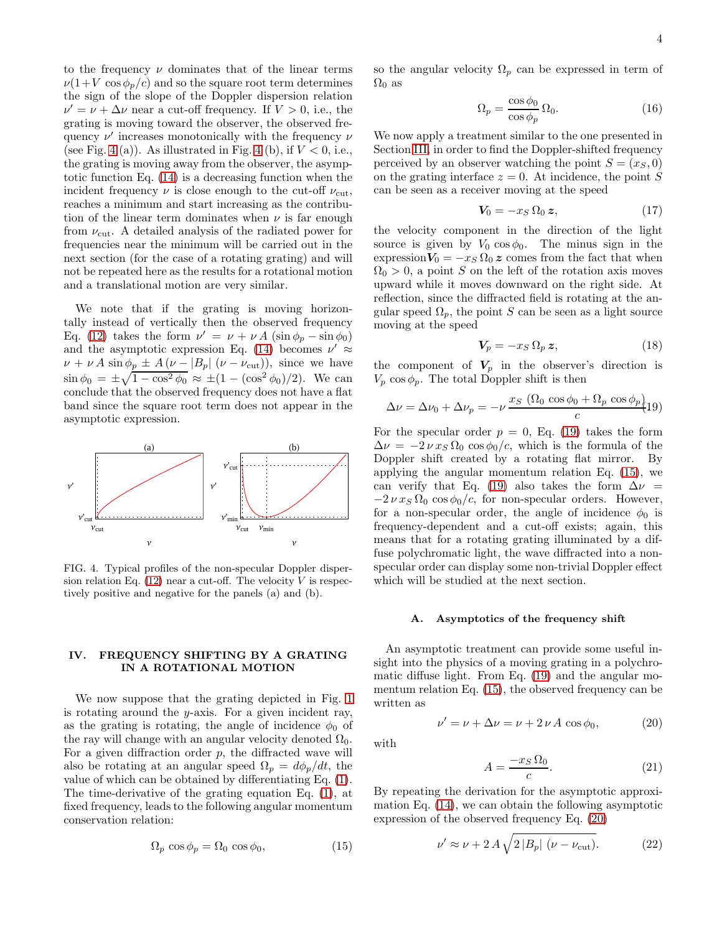4

to the frequency  $\nu$  dominates that of the linear terms  $\nu(1+V \cos \phi_p/c)$  and so the square root term determines the sign of the slope of the Doppler dispersion relation  $\nu' = \nu + \Delta \nu$  near a cut-off frequency. If  $V > 0$ , i.e., the grating is moving toward the observer, the observed frequency  $\nu'$  increases monotonically with the frequency  $\nu$ (see Fig. [4](#page-3-1) (a)). As illustrated in Fig. 4 (b), if  $V < 0$ , i.e., the grating is moving away from the observer, the asymptotic function Eq. [\(14\)](#page-2-6) is a decreasing function when the incident frequency  $\nu$  is close enough to the cut-off  $\nu_{\rm cut}$ , reaches a minimum and start increasing as the contribution of the linear term dominates when  $\nu$  is far enough from  $\nu_{\rm cut}$ . A detailed analysis of the radiated power for frequencies near the minimum will be carried out in the next section (for the case of a rotating grating) and will not be repeated here as the results for a rotational motion and a translational motion are very similar.

We note that if the grating is moving horizontally instead of vertically then the observed frequency Eq. [\(12\)](#page-2-5) takes the form  $\nu' = \nu + \nu A (\sin \phi_p - \sin \phi_0)$ and the asymptotic expression Eq. [\(14\)](#page-2-6) becomes  $\nu' \approx$  $\nu + \nu A \sin \phi_p \pm A (\nu - |B_p| (\nu - \nu_{\rm cut}))$ , since we have  $\sin \phi_0 = \pm \sqrt{1 - \cos^2 \phi_0} \approx \pm (1 - (\cos^2 \phi_0)/2)$ . We can conclude that the observed frequency does not have a flat band since the square root term does not appear in the asymptotic expression.



<span id="page-3-1"></span>FIG. 4. Typical profiles of the non-specular Doppler dispersion relation Eq.  $(12)$  near a cut-off. The velocity V is respectively positive and negative for the panels (a) and (b).

# <span id="page-3-0"></span>IV. FREQUENCY SHIFTING BY A GRATING IN A ROTATIONAL MOTION

We now suppose that the grating depicted in Fig. [1](#page-1-0) is rotating around the  $y$ -axis. For a given incident ray, as the grating is rotating, the angle of incidence  $\phi_0$  of the ray will change with an angular velocity denoted  $\Omega_0$ . For a given diffraction order  $p$ , the diffracted wave will also be rotating at an angular speed  $\Omega_p = d\phi_p/dt$ , the value of which can be obtained by differentiating Eq. [\(1\)](#page-1-3). The time-derivative of the grating equation Eq. [\(1\)](#page-1-3), at fixed frequency, leads to the following angular momentum conservation relation:

<span id="page-3-3"></span>
$$
\Omega_p \cos \phi_p = \Omega_0 \cos \phi_0,\tag{15}
$$

so the angular velocity  $\Omega_p$  can be expressed in term of  $\Omega_0$  as

<span id="page-3-7"></span>
$$
\Omega_p = \frac{\cos \phi_0}{\cos \phi_p} \Omega_0.
$$
\n(16)

We now apply a treatment similar to the one presented in Section [III,](#page-2-0) in order to find the Doppler-shifted frequency perceived by an observer watching the point  $S = (x_S, 0)$ on the grating interface  $z = 0$ . At incidence, the point S can be seen as a receiver moving at the speed

<span id="page-3-8"></span>
$$
V_0 = -x_S \,\Omega_0 \, \boldsymbol{z},\tag{17}
$$

the velocity component in the direction of the light source is given by  $V_0 \cos \phi_0$ . The minus sign in the expression $V_0 = -x_S \Omega_0 z$  comes from the fact that when  $\Omega_0 > 0$ , a point S on the left of the rotation axis moves upward while it moves downward on the right side. At reflection, since the diffracted field is rotating at the angular speed  $\Omega_p$ , the point S can be seen as a light source moving at the speed

<span id="page-3-9"></span>
$$
V_p = -x_S \Omega_p z,\t\t(18)
$$

the component of  $V_p$  in the observer's direction is  $V_p \cos \phi_p$ . The total Doppler shift is then

<span id="page-3-2"></span>
$$
\Delta \nu = \Delta \nu_0 + \Delta \nu_p = -\nu \frac{x_S (\Omega_0 \cos \phi_0 + \Omega_p \cos \phi_p)}{c} (19)
$$

For the specular order  $p = 0$ , Eq. [\(19\)](#page-3-2) takes the form  $\Delta \nu = -2 \nu x_S \Omega_0 \cos \phi_0/c$ , which is the formula of the Doppler shift created by a rotating flat mirror. By Doppler shift created by a rotating flat mirror. applying the angular momentum relation Eq. [\(15\)](#page-3-3), we can verify that Eq. [\(19\)](#page-3-2) also takes the form  $\Delta \nu$  =  $-2 \nu x_S \Omega_0 \cos \phi_0/c$ , for non-specular orders. However, for a non-specular order, the angle of incidence  $\phi_0$  is frequency-dependent and a cut-off exists; again, this means that for a rotating grating illuminated by a diffuse polychromatic light, the wave diffracted into a nonspecular order can display some non-trivial Doppler effect which will be studied at the next section.

#### A. Asymptotics of the frequency shift

An asymptotic treatment can provide some useful insight into the physics of a moving grating in a polychromatic diffuse light. From Eq. [\(19\)](#page-3-2) and the angular momentum relation Eq. [\(15\)](#page-3-3), the observed frequency can be written as

with

<span id="page-3-6"></span>
$$
A = \frac{-x_S \,\Omega_0}{c}.\tag{21}
$$

By repeating the derivation for the asymptotic approximation Eq. [\(14\)](#page-2-6), we can obtain the following asymptotic expression of the observed frequency Eq. [\(20\)](#page-3-4)

<span id="page-3-5"></span>
$$
\nu' \approx \nu + 2A\sqrt{2|B_p|(\nu - \nu_{\rm cut})}.\tag{22}
$$

<span id="page-3-4"></span> $\nu' = \nu + \Delta \nu = \nu + 2 \nu A \cos \phi_0,$ (20)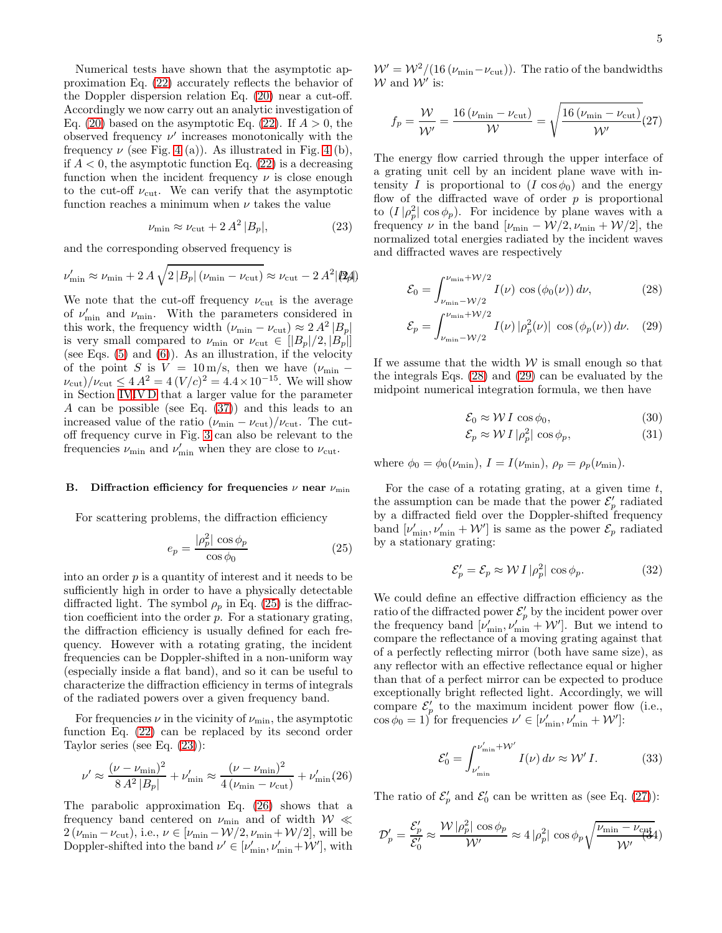Numerical tests have shown that the asymptotic approximation Eq. [\(22\)](#page-3-5) accurately reflects the behavior of the Doppler dispersion relation Eq. [\(20\)](#page-3-4) near a cut-off. Accordingly we now carry out an analytic investigation of Eq. [\(20\)](#page-3-4) based on the asymptotic Eq. [\(22\)](#page-3-5). If  $A > 0$ , the observed frequency  $\nu'$  increases monotonically with the frequency  $\nu$  (see Fig. [4](#page-3-1) (a)). As illustrated in Fig. 4 (b), if  $A < 0$ , the asymptotic function Eq. [\(22\)](#page-3-5) is a decreasing function when the incident frequency  $\nu$  is close enough to the cut-off  $\nu_{\rm cut}$ . We can verify that the asymptotic function reaches a minimum when  $\nu$  takes the value

<span id="page-4-1"></span>
$$
\nu_{\min} \approx \nu_{\rm cut} + 2 A^2 |B_p|,\tag{23}
$$

and the corresponding observed frequency is

$$
\nu'_{\min} \approx \nu_{\min} + 2 A \sqrt{2 |B_p| (\nu_{\min} - \nu_{\rm cut})} \approx \nu_{\rm cut} - 2 A^2 |\mathcal{P}_p|
$$

We note that the cut-off frequency  $\nu_{\rm cut}$  is the average of  $\nu'_{\min}$  and  $\nu_{\min}$ . With the parameters considered in this work, the frequency width  $(\nu_{\min} - \nu_{\rm cut}) \approx 2 A^2 |B_p|$ is very small compared to  $\nu_{\text{min}}$  or  $\nu_{\text{cut}} \in [|B_p|/2, |B_p|]$ (see Eqs.  $(5)$  and  $(6)$ ). As an illustration, if the velocity of the point S is  $V = 10 \text{ m/s}$ , then we have  $(\nu_{\text{min}} \nu_{\text{cut}}/\nu_{\text{cut}} \leq 4 A^2 = 4 (V/c)^2 = 4.4 \times 10^{-15}$ . We will show in Section [IV](#page-3-0)[IV D](#page-6-0) that a larger value for the parameter A can be possible (see Eq.  $(37)$ ) and this leads to an increased value of the ratio  $(\nu_{\rm min} - \nu_{\rm cut})/\nu_{\rm cut}$ . The cutoff frequency curve in Fig. [3](#page-2-2) can also be relevant to the frequencies  $\nu_{\min}$  and  $\nu'_{\min}$  when they are close to  $\nu_{\text{cut}}$ .

#### B. Diffraction efficiency for frequencies  $\nu$  near  $\nu_{\min}$

For scattering problems, the diffraction efficiency

<span id="page-4-0"></span>
$$
e_p = \frac{|\rho_p^2| \cos \phi_p}{\cos \phi_0} \tag{25}
$$

into an order  $p$  is a quantity of interest and it needs to be sufficiently high in order to have a physically detectable diffracted light. The symbol  $\rho_p$  in Eq. [\(25\)](#page-4-0) is the diffraction coefficient into the order  $p$ . For a stationary grating, the diffraction efficiency is usually defined for each frequency. However with a rotating grating, the incident frequencies can be Doppler-shifted in a non-uniform way (especially inside a flat band), and so it can be useful to characterize the diffraction efficiency in terms of integrals of the radiated powers over a given frequency band.

For frequencies  $\nu$  in the vicinity of  $\nu_{\min}$ , the asymptotic function Eq. [\(22\)](#page-3-5) can be replaced by its second order Taylor series (see Eq. [\(23\)](#page-4-1)):

<span id="page-4-2"></span>
$$
\nu' \approx \frac{(\nu - \nu_{\min})^2}{8 A^2 |B_p|} + \nu'_{\min} \approx \frac{(\nu - \nu_{\min})^2}{4 (\nu_{\min} - \nu_{\rm cut})} + \nu'_{\min}(26)
$$

The parabolic approximation Eq. [\(26\)](#page-4-2) shows that a frequency band centered on  $\nu_{\min}$  and of width  $\mathcal{W} \ll$  $2(\nu_{\min} - \nu_{\text{cut}})$ , i.e.,  $\nu \in [\nu_{\min} - \mathcal{W}/2, \nu_{\min} + \mathcal{W}/2]$ , will be Doppler-shifted into the band  $\nu' \in [\nu'_{\text{min}}, \nu'_{\text{min}} + \mathcal{W}']$ , with  $W' = W^2/(16 (\nu_{\rm min} - \nu_{\rm cut}))$ . The ratio of the bandwidths W and  $\mathcal{W}'$  is:

<span id="page-4-4"></span>
$$
f_p = \frac{W}{W'} = \frac{16(\nu_{\min} - \nu_{\rm cut})}{W} = \sqrt{\frac{16(\nu_{\min} - \nu_{\rm cut})}{W'}} (27)
$$

The energy flow carried through the upper interface of a grating unit cell by an incident plane wave with intensity I is proportional to  $(I \cos \phi_0)$  and the energy flow of the diffracted wave of order  $p$  is proportional to  $(I|\rho_p^2| \cos \phi_p)$ . For incidence by plane waves with a frequency  $\nu$  in the band  $[\nu_{\min} - \mathcal{W}/2, \nu_{\min} + \mathcal{W}/2]$ , the normalized total energies radiated by the incident waves and diffracted waves are respectively

<span id="page-4-3"></span>
$$
\mathcal{E}_0 = \int_{\nu_{\min} - \mathcal{W}/2}^{\nu_{\min} + \mathcal{W}/2} I(\nu) \cos(\phi_0(\nu)) d\nu,
$$
 (28)

$$
\mathcal{E}_p = \int_{\nu_{\min} - W/2}^{\nu_{\min} + W/2} I(\nu) |\rho_p^2(\nu)| \cos (\phi_p(\nu)) d\nu. \quad (29)
$$

If we assume that the width  $W$  is small enough so that the integrals Eqs. [\(28\)](#page-4-3) and [\(29\)](#page-4-3) can be evaluated by the midpoint numerical integration formula, we then have

$$
\mathcal{E}_0 \approx \mathcal{W} I \cos \phi_0, \tag{30}
$$

$$
\mathcal{E}_p \approx \mathcal{W} I \left| \rho_p^2 \right| \cos \phi_p,\tag{31}
$$

where  $\phi_0 = \phi_0(\nu_{\min}), I = I(\nu_{\min}), \rho_p = \rho_p(\nu_{\min}).$ 

For the case of a rotating grating, at a given time  $t$ , the assumption can be made that the power  $\mathcal{E}'_p$  radiated by a diffracted field over the Doppler-shifted frequency band  $[\nu'_{\min}, \nu'_{\min} + \mathcal{W}']$  is same as the power  $\mathcal{E}_p$  radiated by a stationary grating:

<span id="page-4-6"></span>
$$
\mathcal{E}'_p = \mathcal{E}_p \approx \mathcal{W} I \left| \rho_p^2 \right| \cos \phi_p. \tag{32}
$$

We could define an effective diffraction efficiency as the ratio of the diffracted power  $\mathcal{E}'_p$  by the incident power over the frequency band  $[\nu'_{\min}, \nu'_{\min} + \mathcal{W}']$ . But we intend to compare the reflectance of a moving grating against that of a perfectly reflecting mirror (both have same size), as any reflector with an effective reflectance equal or higher than that of a perfect mirror can be expected to produce exceptionally bright reflected light. Accordingly, we will compare  $\mathcal{E}'_p$  to the maximum incident power flow (i.e.,  $\cos \phi_0 = 1$ <sup>p</sup> for frequencies  $\nu' \in [\nu'_{\text{min}}, \nu'_{\text{min}} + \mathcal{W}']$ :

$$
\mathcal{E}'_0 = \int_{\nu'_{\min}}^{\nu'_{\min} + \mathcal{W}'} I(\nu) d\nu \approx \mathcal{W}' I.
$$
 (33)

The ratio of  $\mathcal{E}'_p$  and  $\mathcal{E}'_0$  can be written as (see Eq. [\(27\)](#page-4-4)):

<span id="page-4-5"></span>
$$
\mathcal{D}'_p = \frac{\mathcal{E}'_p}{\mathcal{E}'_0} \approx \frac{\mathcal{W}|\rho_p^2| \cos \phi_p}{\mathcal{W}'} \approx 4 |\rho_p^2| \cos \phi_p \sqrt{\frac{\nu_{\min} - \nu_{\text{cut}}}{\mathcal{W}'}} \mathcal{A})
$$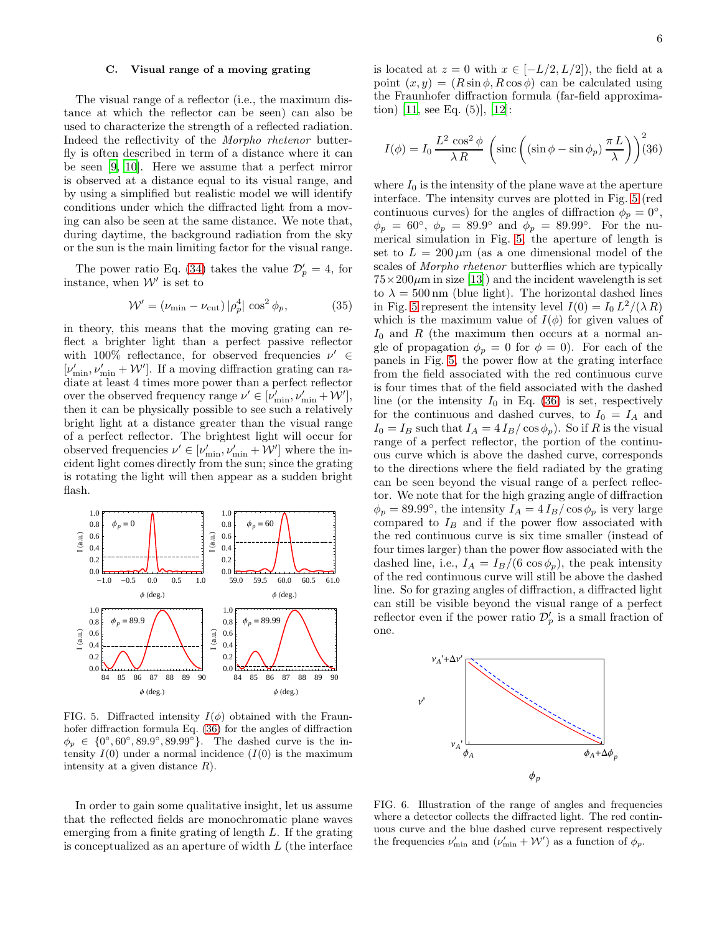### C. Visual range of a moving grating

The visual range of a reflector (i.e., the maximum distance at which the reflector can be seen) can also be used to characterize the strength of a reflected radiation. Indeed the reflectivity of the Morpho rhetenor butterfly is often described in term of a distance where it can be seen [\[9,](#page-10-8) [10](#page-10-9)]. Here we assume that a perfect mirror is observed at a distance equal to its visual range, and by using a simplified but realistic model we will identify conditions under which the diffracted light from a moving can also be seen at the same distance. We note that, during daytime, the background radiation from the sky or the sun is the main limiting factor for the visual range.

The power ratio Eq. [\(34\)](#page-4-5) takes the value  $\mathcal{D}'_p = 4$ , for instance, when  $\mathcal{W}'$  is set to

$$
\mathcal{W}' = (\nu_{\min} - \nu_{\rm cut}) |\rho_p^4| \cos^2 \phi_p, \tag{35}
$$

in theory, this means that the moving grating can reflect a brighter light than a perfect passive reflector with  $100\%$  reflectance, for observed frequencies  $\nu' \in$  $[\nu'_{\rm min},\nu'_{\rm min}+{\mathcal W}']$  . If a moving diffraction grating can radiate at least 4 times more power than a perfect reflector over the observed frequency range  $\nu' \in [\nu'_{\min}, \nu'_{\min} + \mathcal{W}'],$ then it can be physically possible to see such a relatively bright light at a distance greater than the visual range of a perfect reflector. The brightest light will occur for observed frequencies  $\nu' \in [\nu'_{\min}, \nu'_{\min} + W']$  where the incident light comes directly from the sun; since the grating is rotating the light will then appear as a sudden bright flash.



<span id="page-5-1"></span>FIG. 5. Diffracted intensity  $I(\phi)$  obtained with the Fraunhofer diffraction formula Eq. [\(36\)](#page-5-0) for the angles of diffraction  $\phi_p \in \{0^\circ, 60^\circ, 89.9^\circ, 89.99^\circ\}.$  The dashed curve is the intensity  $I(0)$  under a normal incidence  $(I(0))$  is the maximum intensity at a given distance  $R$ ).

In order to gain some qualitative insight, let us assume that the reflected fields are monochromatic plane waves emerging from a finite grating of length L. If the grating is conceptualized as an aperture of width  $L$  (the interface

is located at  $z = 0$  with  $x \in [-L/2, L/2]$ , the field at a point  $(x, y) = (R \sin \phi, R \cos \phi)$  can be calculated using the Fraunhofer diffraction formula (far-field approximation) [\[11](#page-10-10), see Eq. (5)], [\[12\]](#page-10-11):

<span id="page-5-0"></span>
$$
I(\phi) = I_0 \frac{L^2 \cos^2 \phi}{\lambda R} \left( \operatorname{sinc} \left( (\sin \phi - \sin \phi_p) \frac{\pi L}{\lambda} \right) \right)^2 (36)
$$

where  $I_0$  is the intensity of the plane wave at the aperture interface. The intensity curves are plotted in Fig. [5](#page-5-1) (red continuous curves) for the angles of diffraction  $\phi_p = 0^\circ$ ,  $\phi_p = 60^\circ, \ \phi_p = 89.9^\circ \text{ and } \phi_p = 89.99^\circ. \text{ For the nu$ merical simulation in Fig. [5,](#page-5-1) the aperture of length is set to  $L = 200 \,\mu \mathrm{m}$  (as a one dimensional model of the scales of Morpho rhetenor butterflies which are typically  $75 \times 200 \mu m$  in size [\[13](#page-10-12)]) and the incident wavelength is set to  $\lambda = 500 \text{ nm}$  (blue light). The horizontal dashed lines in Fig. [5](#page-5-1) represent the intensity level  $I(0) = I_0 L^2/(\lambda R)$ which is the maximum value of  $I(\phi)$  for given values of  $I_0$  and R (the maximum then occurs at a normal angle of propagation  $\phi_p = 0$  for  $\phi = 0$ . For each of the panels in Fig. [5,](#page-5-1) the power flow at the grating interface from the field associated with the red continuous curve is four times that of the field associated with the dashed line (or the intensity  $I_0$  in Eq. [\(36\)](#page-5-0) is set, respectively for the continuous and dashed curves, to  $I_0 = I_A$  and  $I_0 = I_B$  such that  $I_A = 4 I_B / \cos \phi_p$ . So if R is the visual range of a perfect reflector, the portion of the continuous curve which is above the dashed curve, corresponds to the directions where the field radiated by the grating can be seen beyond the visual range of a perfect reflector. We note that for the high grazing angle of diffraction  $\phi_p = 89.99^{\circ}$ , the intensity  $\widetilde{I}_A = 4 I_B / \cos \phi_p$  is very large compared to  $I_B$  and if the power flow associated with the red continuous curve is six time smaller (instead of four times larger) than the power flow associated with the dashed line, i.e.,  $I_A = I_B/(6 \cos \phi_p)$ , the peak intensity of the red continuous curve will still be above the dashed line. So for grazing angles of diffraction, a diffracted light can still be visible beyond the visual range of a perfect reflector even if the power ratio  $\mathcal{D}'_p$  is a small fraction of one.



<span id="page-5-2"></span>FIG. 6. Illustration of the range of angles and frequencies where a detector collects the diffracted light. The red continuous curve and the blue dashed curve represent respectively the frequencies  $\nu'_{\min}$  and  $(\nu'_{\min} + \mathcal{W}')$  as a function of  $\phi_p$ .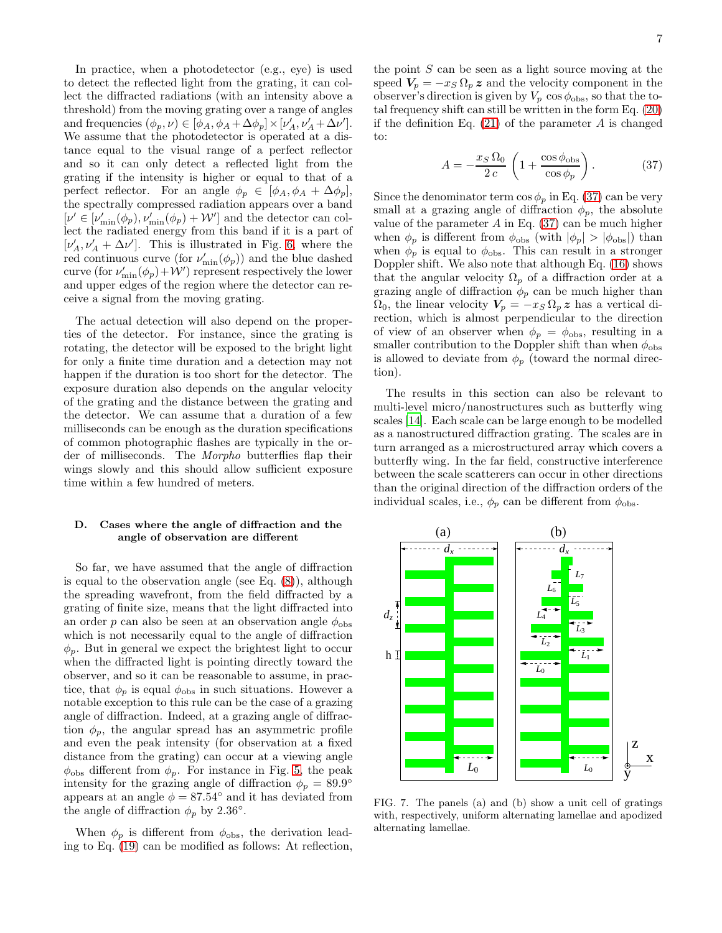In practice, when a photodetector (e.g., eye) is used to detect the reflected light from the grating, it can collect the diffracted radiations (with an intensity above a threshold) from the moving grating over a range of angles and frequencies  $(\phi_p, \nu) \in [\phi_A, \phi_A + \Delta \phi_p] \times [\nu'_A, \nu'_A + \Delta \nu']$ . We assume that the photodetector is operated at a distance equal to the visual range of a perfect reflector and so it can only detect a reflected light from the grating if the intensity is higher or equal to that of a perfect reflector. For an angle  $\phi_p \in [\phi_A, \phi_A + \Delta \phi_p],$ the spectrally compressed radiation appears over a band  $[\nu' \in [\nu'_{\min}(\phi_p), \nu'_{\min}(\phi_p) + \mathcal{W}']$  and the detector can collect the radiated energy from this band if it is a part of  $[\nu'_A, \nu'_A + \Delta \nu']$ . This is illustrated in Fig. [6,](#page-5-2) where the red continuous curve (for  $\nu'_{\min}(\phi_p)$ ) and the blue dashed curve (for  $\nu'_{\text{min}}(\phi_p) + \mathcal{W}'$ ) represent respectively the lower and upper edges of the region where the detector can receive a signal from the moving grating.

The actual detection will also depend on the properties of the detector. For instance, since the grating is rotating, the detector will be exposed to the bright light for only a finite time duration and a detection may not happen if the duration is too short for the detector. The exposure duration also depends on the angular velocity of the grating and the distance between the grating and the detector. We can assume that a duration of a few milliseconds can be enough as the duration specifications of common photographic flashes are typically in the order of milliseconds. The Morpho butterflies flap their wings slowly and this should allow sufficient exposure time within a few hundred of meters.

# <span id="page-6-0"></span>D. Cases where the angle of diffraction and the angle of observation are different

So far, we have assumed that the angle of diffraction is equal to the observation angle (see Eq.  $(8)$ ), although the spreading wavefront, from the field diffracted by a grating of finite size, means that the light diffracted into an order p can also be seen at an observation angle  $\phi_{\rm obs}$ which is not necessarily equal to the angle of diffraction  $\phi_p$ . But in general we expect the brightest light to occur when the diffracted light is pointing directly toward the observer, and so it can be reasonable to assume, in practice, that  $\phi_p$  is equal  $\phi_{\text{obs}}$  in such situations. However a notable exception to this rule can be the case of a grazing angle of diffraction. Indeed, at a grazing angle of diffraction  $\phi_p$ , the angular spread has an asymmetric profile and even the peak intensity (for observation at a fixed distance from the grating) can occur at a viewing angle  $\phi_{\rm obs}$  different from  $\phi_p$ . For instance in Fig. [5,](#page-5-1) the peak intensity for the grazing angle of diffraction  $\phi_p = 89.9^\circ$ appears at an angle  $\phi = 87.54^{\circ}$  and it has deviated from the angle of diffraction  $\phi_p$  by 2.36°.

When  $\phi_p$  is different from  $\phi_{\text{obs}}$ , the derivation leading to Eq. [\(19\)](#page-3-2) can be modified as follows: At reflection,

the point  $S$  can be seen as a light source moving at the speed  $V_p = -x_s \Omega_p z$  and the velocity component in the observer's direction is given by  $V_p \cos \phi_{\text{obs}}$ , so that the total frequency shift can still be written in the form Eq. [\(20\)](#page-3-4) if the definition Eq.  $(21)$  of the parameter A is changed to:

<span id="page-6-1"></span>
$$
A = -\frac{x_S \,\Omega_0}{2 \, c} \left( 1 + \frac{\cos \phi_{\text{obs}}}{\cos \phi_p} \right). \tag{37}
$$

Since the denominator term  $\cos \phi_p$  in Eq. [\(37\)](#page-6-1) can be very small at a grazing angle of diffraction  $\phi_p$ , the absolute value of the parameter  $A$  in Eq. [\(37\)](#page-6-1) can be much higher when  $\phi_p$  is different from  $\phi_{\text{obs}}$  (with  $|\phi_p| > |\phi_{\text{obs}}|$ ) than when  $\phi_p$  is equal to  $\phi_{\text{obs}}$ . This can result in a stronger Doppler shift. We also note that although Eq. [\(16\)](#page-3-7) shows that the angular velocity  $\Omega_p$  of a diffraction order at a grazing angle of diffraction  $\phi_p$  can be much higher than  $\Omega_0$ , the linear velocity  $V_p = -x_s \Omega_p z$  has a vertical direction, which is almost perpendicular to the direction of view of an observer when  $\phi_p = \phi_{\text{obs}}$ , resulting in a smaller contribution to the Doppler shift than when  $\phi_{obs}$ is allowed to deviate from  $\phi_p$  (toward the normal direction).

The results in this section can also be relevant to multi-level micro/nanostructures such as butterfly wing scales [\[14\]](#page-10-13). Each scale can be large enough to be modelled as a nanostructured diffraction grating. The scales are in turn arranged as a microstructured array which covers a butterfly wing. In the far field, constructive interference between the scale scatterers can occur in other directions than the original direction of the diffraction orders of the individual scales, i.e.,  $\phi_p$  can be different from  $\phi_{\text{obs}}$ .



<span id="page-6-2"></span>FIG. 7. The panels (a) and (b) show a unit cell of gratings with, respectively, uniform alternating lamellae and apodized alternating lamellae.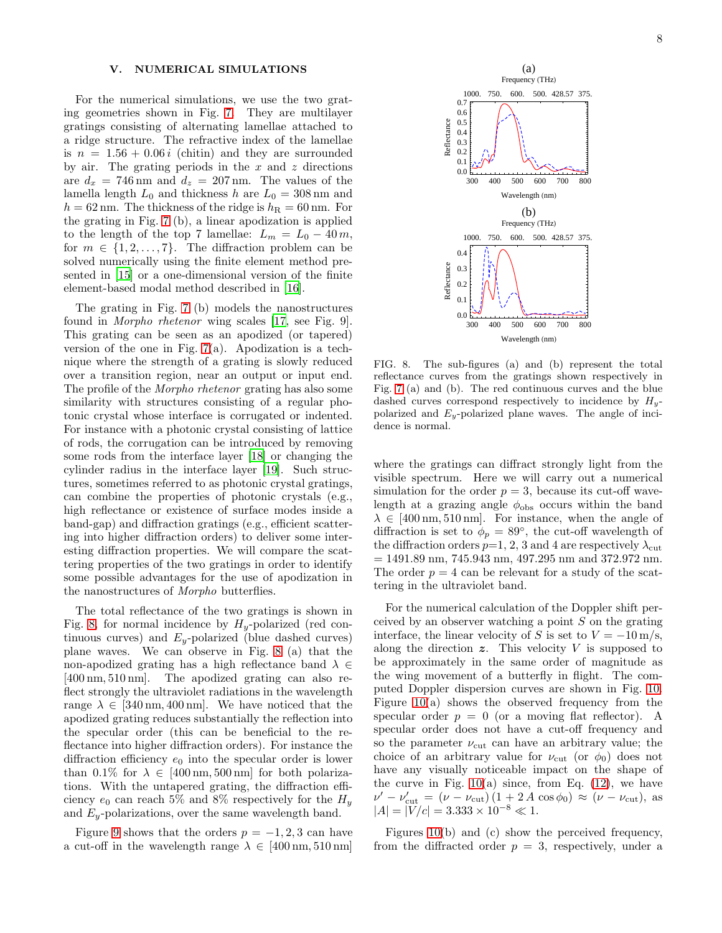### <span id="page-7-0"></span>V. NUMERICAL SIMULATIONS

For the numerical simulations, we use the two grating geometries shown in Fig. [7.](#page-6-2) They are multilayer gratings consisting of alternating lamellae attached to a ridge structure. The refractive index of the lamellae is  $n = 1.56 + 0.06 i$  (chitin) and they are surrounded by air. The grating periods in the  $x$  and  $z$  directions are  $d_x = 746 \text{ nm}$  and  $d_z = 207 \text{ nm}$ . The values of the lamella length  $L_0$  and thickness h are  $L_0 = 308 \text{ nm}$  and  $h = 62$  nm. The thickness of the ridge is  $h<sub>R</sub> = 60$  nm. For the grating in Fig. [7](#page-6-2) (b), a linear apodization is applied to the length of the top 7 lamellae:  $L_m = L_0 - 40 m$ , for  $m \in \{1, 2, ..., 7\}$ . The diffraction problem can be solved numerically using the finite element method presented in [\[15\]](#page-10-14) or a one-dimensional version of the finite element-based modal method described in [\[16\]](#page-10-15).

The grating in Fig. [7](#page-6-2) (b) models the nanostructures found in Morpho rhetenor wing scales [\[17,](#page-10-16) see Fig. 9]. This grating can be seen as an apodized (or tapered) version of the one in Fig. [7\(](#page-6-2)a). Apodization is a technique where the strength of a grating is slowly reduced over a transition region, near an output or input end. The profile of the Morpho rhetenor grating has also some similarity with structures consisting of a regular photonic crystal whose interface is corrugated or indented. For instance with a photonic crystal consisting of lattice of rods, the corrugation can be introduced by removing some rods from the interface layer [\[18](#page-10-17)] or changing the cylinder radius in the interface layer [\[19](#page-10-18)]. Such structures, sometimes referred to as photonic crystal gratings, can combine the properties of photonic crystals (e.g., high reflectance or existence of surface modes inside a band-gap) and diffraction gratings (e.g., efficient scattering into higher diffraction orders) to deliver some interesting diffraction properties. We will compare the scattering properties of the two gratings in order to identify some possible advantages for the use of apodization in the nanostructures of Morpho butterflies.

The total reflectance of the two gratings is shown in Fig. [8,](#page-7-1) for normal incidence by  $H_{\nu}$ -polarized (red continuous curves) and  $E_y$ -polarized (blue dashed curves) plane waves. We can observe in Fig. [8](#page-7-1) (a) that the non-apodized grating has a high reflectance band  $\lambda \in$ [400 nm, 510 nm]. The apodized grating can also reflect strongly the ultraviolet radiations in the wavelength range  $\lambda \in [340 \text{ nm}, 400 \text{ nm}]$ . We have noticed that the apodized grating reduces substantially the reflection into the specular order (this can be beneficial to the reflectance into higher diffraction orders). For instance the diffraction efficiency  $e_0$  into the specular order is lower than 0.1% for  $\lambda \in [400 \text{ nm}, 500 \text{ nm}]$  for both polarizations. With the untapered grating, the diffraction efficiency  $e_0$  can reach 5% and 8% respectively for the  $H_y$ and  $E_y$ -polarizations, over the same wavelength band.

Figure [9](#page-8-0) shows that the orders  $p = -1, 2, 3$  can have a cut-off in the wavelength range  $\lambda \in [400 \text{ nm}, 510 \text{ nm}]$ 



<span id="page-7-1"></span>FIG. 8. The sub-figures (a) and (b) represent the total reflectance curves from the gratings shown respectively in Fig. [7](#page-6-2) (a) and (b). The red continuous curves and the blue dashed curves correspond respectively to incidence by  $H_y$ polarized and  $E_y$ -polarized plane waves. The angle of incidence is normal.

where the gratings can diffract strongly light from the visible spectrum. Here we will carry out a numerical simulation for the order  $p = 3$ , because its cut-off wavelength at a grazing angle  $\phi_{\rm obs}$  occurs within the band  $\lambda \in [400 \text{ nm}, 510 \text{ nm}]$ . For instance, when the angle of diffraction is set to  $\phi_p = 89^\circ$ , the cut-off wavelength of the diffraction orders  $p=1, 2, 3$  and 4 are respectively  $\lambda_{\text{cut}}$  $= 1491.89$  nm, 745.943 nm, 497.295 nm and 372.972 nm. The order  $p = 4$  can be relevant for a study of the scattering in the ultraviolet band.

For the numerical calculation of the Doppler shift perceived by an observer watching a point S on the grating interface, the linear velocity of S is set to  $V = -10 \text{ m/s}$ , along the direction  $z$ . This velocity  $V$  is supposed to be approximately in the same order of magnitude as the wing movement of a butterfly in flight. The computed Doppler dispersion curves are shown in Fig. [10.](#page-8-1) Figure [10\(](#page-8-1)a) shows the observed frequency from the specular order  $p = 0$  (or a moving flat reflector). A specular order does not have a cut-off frequency and so the parameter  $\nu_{\rm cut}$  can have an arbitrary value; the choice of an arbitrary value for  $\nu_{\rm cut}$  (or  $\phi_0$ ) does not have any visually noticeable impact on the shape of the curve in Fig.  $10(a)$  since, from Eq.  $(12)$ , we have  $\nu' - \nu'_{\text{cut}} = (\nu - \nu_{\text{cut}}) (1 + 2 \hat{A} \cos \phi_0) \approx (\nu - \nu_{\text{cut}}), \text{ as}$  $|A| = |V/c| = 3.333 \times 10^{-8} \ll 1.$ 

Figures [10\(](#page-8-1)b) and (c) show the perceived frequency, from the diffracted order  $p = 3$ , respectively, under a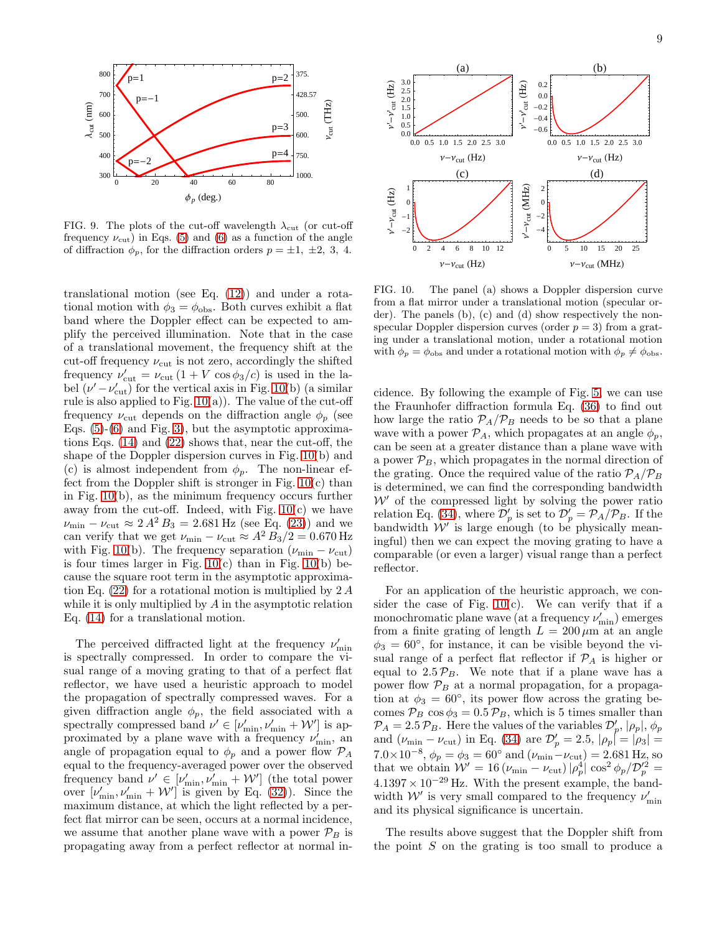

<span id="page-8-0"></span>FIG. 9. The plots of the cut-off wavelength  $\lambda_{\text{cut}}$  (or cut-off frequency  $\nu_{\rm cut}$ ) in Eqs. [\(5\)](#page-1-5) and [\(6\)](#page-1-6) as a function of the angle of diffraction  $\phi_p$ , for the diffraction orders  $p = \pm 1, \pm 2, 3, 4$ .

translational motion (see Eq. [\(12\)](#page-2-5)) and under a rotational motion with  $\phi_3 = \phi_{\text{obs}}$ . Both curves exhibit a flat band where the Doppler effect can be expected to amplify the perceived illumination. Note that in the case of a translational movement, the frequency shift at the cut-off frequency  $\nu_{\rm cut}$  is not zero, accordingly the shifted frequency  $\nu'_{\text{cut}} = \nu_{\text{cut}} (1 + V \cos \phi_3/c)$  is used in the label  $(\nu' - \nu_{\text{cut}}')$  for the vertical axis in Fig. [10\(](#page-8-1)b) (a similar rule is also applied to Fig.  $10(a)$ ). The value of the cut-off frequency  $\nu_{\rm cut}$  depends on the diffraction angle  $\phi_p$  (see Eqs.  $(5)-(6)$  $(5)-(6)$  and Fig. [3\)](#page-2-2), but the asymptotic approximations Eqs. [\(14\)](#page-2-6) and [\(22\)](#page-3-5) shows that, near the cut-off, the shape of the Doppler dispersion curves in Fig. [10\(](#page-8-1)b) and (c) is almost independent from  $\phi_p$ . The non-linear effect from the Doppler shift is stronger in Fig.  $10(c)$  than in Fig. [10\(](#page-8-1)b), as the minimum frequency occurs further away from the cut-off. Indeed, with Fig.  $10(c)$  we have  $\nu_{\text{min}} - \nu_{\text{cut}} \approx 2 A^2 B_3 = 2.681 \,\text{Hz}$  (see Eq. [\(23\)](#page-4-1)) and we can verify that we get  $\nu_{\text{min}} - \nu_{\text{cut}} \approx A^2 B_3/2 = 0.670 \text{ Hz}$ with Fig. [10\(](#page-8-1)b). The frequency separation  $(\nu_{\min} - \nu_{\rm cut})$ is four times larger in Fig.  $10(c)$  than in Fig.  $10(b)$  because the square root term in the asymptotic approximation Eq. [\(22\)](#page-3-5) for a rotational motion is multiplied by 2 A while it is only multiplied by A in the asymptotic relation Eq. [\(14\)](#page-2-6) for a translational motion.

The perceived diffracted light at the frequency  $\nu'_{\rm min}$ is spectrally compressed. In order to compare the visual range of a moving grating to that of a perfect flat reflector, we have used a heuristic approach to model the propagation of spectrally compressed waves. For a given diffraction angle  $\phi_p$ , the field associated with a spectrally compressed band  $\nu' \in [\nu'_{\min}, \nu'_{\min} + \mathcal{W}']$  is approximated by a plane wave with a frequency  $\nu'_{\min}$ , and angle of propagation equal to  $\phi_p$  and a power flow  $\mathcal{P}_A$ equal to the frequency-averaged power over the observed frequency band  $\nu' \in [\nu'_{\min}, \nu'_{\min}] + \mathcal{W}'$  (the total power over  $[\nu'_{\min}, \nu'_{\min} + \mathcal{W}']$  is given by Eq. [\(32\)](#page-4-6)). Since the maximum distance, at which the light reflected by a perfect flat mirror can be seen, occurs at a normal incidence, we assume that another plane wave with a power  $\mathcal{P}_B$  is propagating away from a perfect reflector at normal in-



<span id="page-8-1"></span>FIG. 10. The panel (a) shows a Doppler dispersion curve from a flat mirror under a translational motion (specular order). The panels (b), (c) and (d) show respectively the nonspecular Doppler dispersion curves (order  $p = 3$ ) from a grating under a translational motion, under a rotational motion with  $\phi_p = \phi_{obs}$  and under a rotational motion with  $\phi_p \neq \phi_{obs}$ .

cidence. By following the example of Fig. [5,](#page-5-1) we can use the Fraunhofer diffraction formula Eq. [\(36\)](#page-5-0) to find out how large the ratio  $P_A/P_B$  needs to be so that a plane wave with a power  $\mathcal{P}_A$ , which propagates at an angle  $\phi_p$ , can be seen at a greater distance than a plane wave with a power  $\mathcal{P}_B$ , which propagates in the normal direction of the grating. Once the required value of the ratio  $P_A/P_B$ is determined, we can find the corresponding bandwidth  $W'$  of the compressed light by solving the power ratio relation Eq. [\(34\)](#page-4-5), where  $\mathcal{D}'_p$  is set to  $\mathcal{D}'_p = \mathcal{P}_A/\mathcal{P}_B$ . If the bandwidth  $\mathcal{W}'$  is large enough (to be physically meaningful) then we can expect the moving grating to have a comparable (or even a larger) visual range than a perfect reflector.

For an application of the heuristic approach, we consider the case of Fig.  $10(c)$ . We can verify that if a monochromatic plane wave (at a frequency  $\nu'_{\rm min}$ ) emerges from a finite grating of length  $L = 200 \,\mu \text{m}$  at an angle  $\phi_3 = 60^\circ$ , for instance, it can be visible beyond the visual range of a perfect flat reflector if  $P_A$  is higher or equal to  $2.5 \mathcal{P}_B$ . We note that if a plane wave has a power flow  $P_B$  at a normal propagation, for a propagation at  $\phi_3 = 60^\circ$ , its power flow across the grating becomes  $\mathcal{P}_B$  cos  $\phi_3 = 0.5 \mathcal{P}_B$ , which is 5 times smaller than  $\mathcal{P}_A = 2.5 \mathcal{P}_B$ . Here the values of the variables  $\mathcal{D}'_p$ ,  $|\rho_p|$ ,  $\phi_p$ and  $(\nu_{\min} - \nu_{\text{cut}})$  in Eq. [\(34\)](#page-4-5) are  $\mathcal{D}'_p = 2.5$ ,  $|\rho_p| = |\rho_3| =$  $7.0\times10^{-8}$ ,  $\phi_p = \phi_3 = 60^\circ$  and  $(\nu_{\rm min} - \nu_{\rm cut}) = 2.681$  Hz, so that we obtain  $W' = 16 (\nu_{\min} - \nu_{\rm cut}) |\rho_p^4| \cos^2 \phi_p / \mathcal{D}_p'^2 =$  $4.1397\times 10^{-29}\,\mathrm{Hz}.$  With the present example, the bandwidth  $\mathcal{W}'$  is very small compared to the frequency  $\nu'_{\min}$ and its physical significance is uncertain.

The results above suggest that the Doppler shift from the point  $S$  on the grating is too small to produce a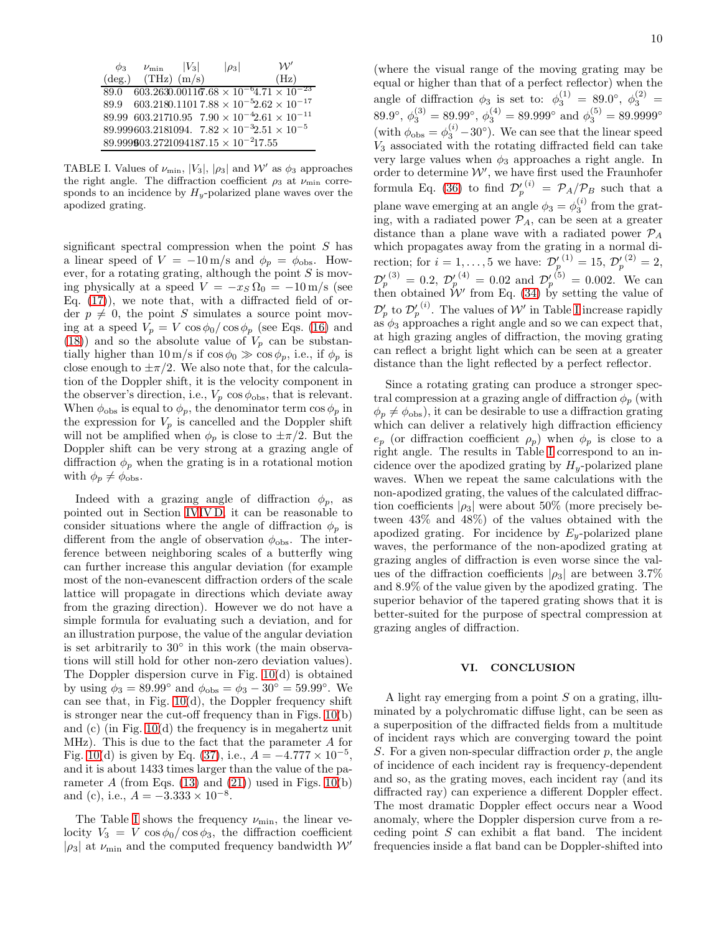| $\phi_3$ | $\nu_{\min}$                                  | $ V_3 $ | $ \rho_3 $ | w'                                                                                |
|----------|-----------------------------------------------|---------|------------|-----------------------------------------------------------------------------------|
|          | $(\text{deg.})$ (THz) $(m/s)$                 |         |            | (Hz)                                                                              |
| 89.0     |                                               |         |            | $603.2630.001167.68 \times 10^{-6}4.71 \times 10^{-23}$                           |
|          |                                               |         |            | 89.9 603.2180.1101 7.88 $\times$ 10 <sup>-5</sup> 2.62 $\times$ 10 <sup>-17</sup> |
|          |                                               |         |            | 89.99 603.21710.95 $7.90 \times 10^{-4}$ 2.61 $\times 10^{-11}$                   |
|          |                                               |         |            | 89.999603.2181094. $7.82 \times 10^{-3}$ 2.51 $\times 10^{-5}$                    |
|          | $89.999903.2721094187.15 \times 10^{-2}17.55$ |         |            |                                                                                   |

<span id="page-9-0"></span>TABLE I. Values of  $\nu_{\min}$ ,  $|V_3|$ ,  $|\rho_3|$  and  $\mathcal{W}'$  as  $\phi_3$  approaches the right angle. The diffraction coefficient  $\rho_3$  at  $\nu_{\text{min}}$  corresponds to an incidence by  $H_y$ -polarized plane waves over the apodized grating.

significant spectral compression when the point  $S$  has a linear speed of  $V = -10 \text{ m/s}$  and  $\phi_p = \phi_{\text{obs}}$ . However, for a rotating grating, although the point  $S$  is moving physically at a speed  $V = -x_S \Omega_0 = -10 \,\text{m/s}$  (see Eq. [\(17\)](#page-3-8)), we note that, with a diffracted field of order  $p \neq 0$ , the point S simulates a source point moving at a speed  $V_p = V \cos \phi_0 / \cos \phi_p$  (see Eqs. [\(16\)](#page-3-7) and [\(18\)](#page-3-9)) and so the absolute value of  $V_p$  can be substantially higher than  $10 \,\mathrm{m/s}$  if  $\cos \phi_0 \gg \cos \phi_p$ , i.e., if  $\phi_p$  is close enough to  $\pm \pi/2$ . We also note that, for the calculation of the Doppler shift, it is the velocity component in the observer's direction, i.e.,  $V_p \cos \phi_{\text{obs}}$ , that is relevant. When  $\phi_{\text{obs}}$  is equal to  $\phi_p$ , the denominator term  $\cos \phi_p$  in the expression for  $V_p$  is cancelled and the Doppler shift will not be amplified when  $\phi_p$  is close to  $\pm \pi/2$ . But the Doppler shift can be very strong at a grazing angle of diffraction  $\phi_p$  when the grating is in a rotational motion with  $\phi_p \neq \phi_{\text{obs}}$ .

Indeed with a grazing angle of diffraction  $\phi_p$ , as pointed out in Section [IV](#page-3-0)[IV D,](#page-6-0) it can be reasonable to consider situations where the angle of diffraction  $\phi_p$  is different from the angle of observation  $\phi_{\rm obs}$ . The interference between neighboring scales of a butterfly wing can further increase this angular deviation (for example most of the non-evanescent diffraction orders of the scale lattice will propagate in directions which deviate away from the grazing direction). However we do not have a simple formula for evaluating such a deviation, and for an illustration purpose, the value of the angular deviation is set arbitrarily to  $30^{\circ}$  in this work (the main observations will still hold for other non-zero deviation values). The Doppler dispersion curve in Fig. [10\(](#page-8-1)d) is obtained by using  $\phi_3 = 89.99^\circ$  and  $\phi_{\text{obs}} = \phi_3 - 30^\circ = 59.99^\circ$ . We can see that, in Fig.  $10(d)$ , the Doppler frequency shift is stronger near the cut-off frequency than in Figs. [10\(](#page-8-1)b) and (c) (in Fig. [10\(](#page-8-1)d) the frequency is in megahertz unit MHz). This is due to the fact that the parameter A for Fig. [10\(](#page-8-1)d) is given by Eq. [\(37\)](#page-6-1), i.e.,  $A = -4.777 \times 10^{-5}$ , and it is about 1433 times larger than the value of the parameter  $A$  (from Eqs. [\(13\)](#page-2-7) and [\(21\)](#page-3-6)) used in Figs. [10\(](#page-8-1)b) and (c), i.e.,  $A = -3.333 \times 10^{-8}$ .

The Table [I](#page-9-0) shows the frequency  $\nu_{\min}$ , the linear velocity  $V_3 = V \cos \phi_0 / \cos \phi_3$ , the diffraction coefficient  $|\rho_3|$  at  $\nu_{\min}$  and the computed frequency bandwidth W'

(where the visual range of the moving grating may be equal or higher than that of a perfect reflector) when the angle of diffraction  $\phi_3$  is set to:  $\phi_3^{(1)} = 89.0^\circ, \phi_3^{(2)} =$  $89.9^{\circ}, \phi_3^{(3)} = 89.99^{\circ}, \phi_3^{(4)} = 89.999^{\circ}$  and  $\phi_3^{(5)} = 89.9999^{\circ}$ (with  $\phi_{\rm obs} = \phi_3^{(i)} - 30^{\circ}$ ). We can see that the linear speed  $V_3$  associated with the rotating diffracted field can take very large values when  $\phi_3$  approaches a right angle. In order to determine  $W'$ , we have first used the Fraunhofer formula Eq. [\(36\)](#page-5-0) to find  $\mathcal{D}'_p{}^{(i)} = \mathcal{P}_A/\mathcal{P}_B$  such that a plane wave emerging at an angle  $\phi_3 = \phi_3^{(i)}$  from the grating, with a radiated power  $\mathcal{P}_A$ , can be seen at a greater distance than a plane wave with a radiated power  $\mathcal{P}_A$ which propagates away from the grating in a normal direction; for  $i = 1, ..., 5$  we have:  $\mathcal{D}'_p^{(1)} = 15, \mathcal{D}'_p^{(2)} = 2,$  $\mathcal{D}'_p^{(3)} = 0.2, \mathcal{D}'_p^{(4)} = 0.02 \text{ and } \mathcal{D}'_p^{(5)} = 0.002. \text{ We can}$ then obtained  $\hat{W}'$  from Eq. [\(34\)](#page-4-5) by setting the value of  $\mathcal{D}'_p$  to  $\mathcal{D}'_p$ <sup>(i)</sup>. The values of W' in Table [I](#page-9-0) increase rapidly as  $\phi_3$  approaches a right angle and so we can expect that, at high grazing angles of diffraction, the moving grating can reflect a bright light which can be seen at a greater distance than the light reflected by a perfect reflector.

Since a rotating grating can produce a stronger spectral compression at a grazing angle of diffraction  $\phi_p$  (with  $\phi_p \neq \phi_{\text{obs}}$ , it can be desirable to use a diffraction grating which can deliver a relatively high diffraction efficiency  $e_p$  (or diffraction coefficient  $\rho_p$ ) when  $\phi_p$  is close to a right angle. The results in Table [I](#page-9-0) correspond to an incidence over the apodized grating by  $H<sub>y</sub>$ -polarized plane waves. When we repeat the same calculations with the non-apodized grating, the values of the calculated diffraction coefficients  $|\rho_3|$  were about 50% (more precisely between 43% and 48%) of the values obtained with the apodized grating. For incidence by  $E_y$ -polarized plane waves, the performance of the non-apodized grating at grazing angles of diffraction is even worse since the values of the diffraction coefficients  $|\rho_3|$  are between 3.7% and 8.9% of the value given by the apodized grating. The superior behavior of the tapered grating shows that it is better-suited for the purpose of spectral compression at grazing angles of diffraction.

# VI. CONCLUSION

A light ray emerging from a point  $S$  on a grating, illuminated by a polychromatic diffuse light, can be seen as a superposition of the diffracted fields from a multitude of incident rays which are converging toward the point S. For a given non-specular diffraction order p, the angle of incidence of each incident ray is frequency-dependent and so, as the grating moves, each incident ray (and its diffracted ray) can experience a different Doppler effect. The most dramatic Doppler effect occurs near a Wood anomaly, where the Doppler dispersion curve from a receding point  $S$  can exhibit a flat band. The incident frequencies inside a flat band can be Doppler-shifted into